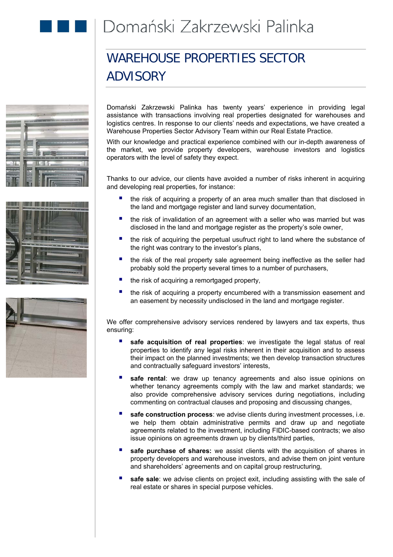

## WAREHOUSE PROPERTIES SECTOR ADVISORY







Domański Zakrzewski Palinka has twenty years' experience in providing legal assistance with transactions involving real properties designated for warehouses and logistics centres. In response to our clients' needs and expectations, we have created a Warehouse Properties Sector Advisory Team within our Real Estate Practice.

With our knowledge and practical experience combined with our in-depth awareness of the market, we provide property developers, warehouse investors and logistics operators with the level of safety they expect.

Thanks to our advice, our clients have avoided a number of risks inherent in acquiring and developing real properties, for instance:

- **the risk of acquiring a property of an area much smaller than that disclosed in** the land and mortgage register and land survey documentation,
- the risk of invalidation of an agreement with a seller who was married but was disclosed in the land and mortgage register as the property's sole owner,
- the risk of acquiring the perpetual usufruct right to land where the substance of the right was contrary to the investor's plans,
- the risk of the real property sale agreement being ineffective as the seller had probably sold the property several times to a number of purchasers,
- the risk of acquiring a remortgaged property,
- the risk of acquiring a property encumbered with a transmission easement and an easement by necessity undisclosed in the land and mortgage register.

We offer comprehensive advisory services rendered by lawyers and tax experts, thus ensuring:

- **safe acquisition of real properties**: we investigate the legal status of real properties to identify any legal risks inherent in their acquisition and to assess their impact on the planned investments; we then develop transaction structures and contractually safeguard investors' interests,
- **safe rental**: we draw up tenancy agreements and also issue opinions on whether tenancy agreements comply with the law and market standards; we also provide comprehensive advisory services during negotiations, including commenting on contractual clauses and proposing and discussing changes,
- **safe construction process**: we advise clients during investment processes, i.e. we help them obtain administrative permits and draw up and negotiate agreements related to the investment, including FIDIC-based contracts; we also issue opinions on agreements drawn up by clients/third parties,
- **safe purchase of shares:** we assist clients with the acquisition of shares in property developers and warehouse investors, and advise them on joint venture and shareholders' agreements and on capital group restructuring,
- **safe sale**: we advise clients on project exit, including assisting with the sale of real estate or shares in special purpose vehicles.